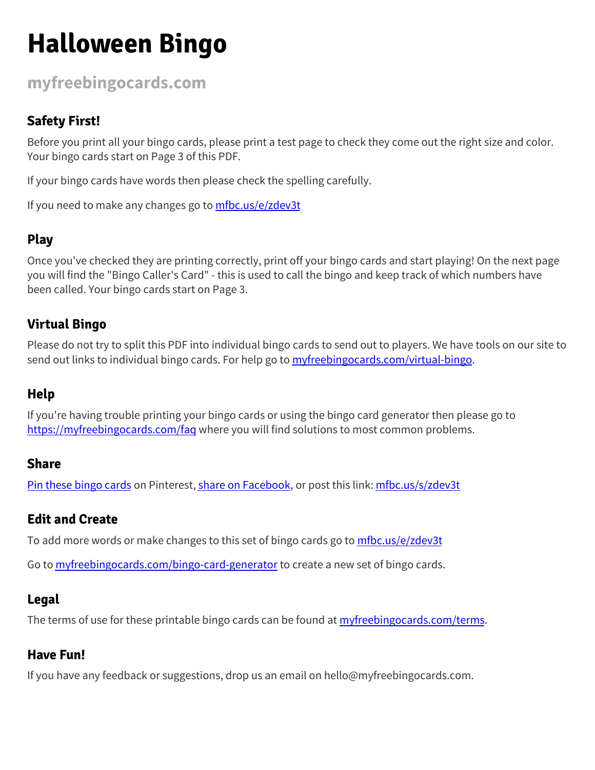# **Halloween Bingo**

**[myfreebingocards.com](https://myfreebingocards.com/)**

## **Safety First!**

Before you print all your bingo cards, please print a test page to check they come out the right size and color. Your bingo cards start on Page 3 of this PDF.

If your bingo cards have words then please check the spelling carefully.

If you need to make any changes go to [mfbc.us/e/zdev3t](https://mfbc.us/e/zdev3t)

# **Play**

Once you've checked they are printing correctly, print off your bingo cards and start playing! On the next page you will find the "Bingo Caller's Card" - this is used to call the bingo and keep track of which numbers have been called. Your bingo cards start on Page 3.

## **Virtual Bingo**

Please do not try to split this PDF into individual bingo cards to send out to players. We have tools on our site to send out links to individual bingo cards. For help go to *[myfreebingocards.com/virtual-bingo](https://myfreebingocards.com/virtual-bingo).* 

#### **Help**

If you're having trouble printing your bingo cards or using the bingo card generator then please go to <https://myfreebingocards.com/faq> where you will find solutions to most common problems.

#### **Share**

Pin these [bingo](https://pinterest.com/pin/create/bookmarklet/?media=https%3A%2F%2Fmyfreebingocards.com%2Fp%2Fzdev3t%2Fpin&url=https%3A%2F%2Fmfbc.us%2Fs%2Fzdev3t&description=Halloween+Bingo) cards on Pinterest, share on [Facebook,](https://www.facebook.com/sharer/sharer.php?u=https%3A%2F%2Fmfbc.us%2Fs%2Fzdev3t) or post this link: [mfbc.us/s/zdev3t](https://mfbc.us/s/zdev3t)

#### **Edit and Create**

To add more words or make changes to this set of bingo cards go to [mfbc.us/e/zdev3t](https://mfbc.us/e/zdev3t)

Go to **[myfreebingocards.com/bingo-card-generator](https://myfreebingocards.com/bingo-card-generator)** to create a new set of bingo cards.

#### **Legal**

The terms of use for these printable bingo cards can be found at *[myfreebingocards.com/terms.](https://myfreebingocards.com/terms)* 

#### **Have Fun!**

If you have any feedback or suggestions, drop us an email on hello@myfreebingocards.com.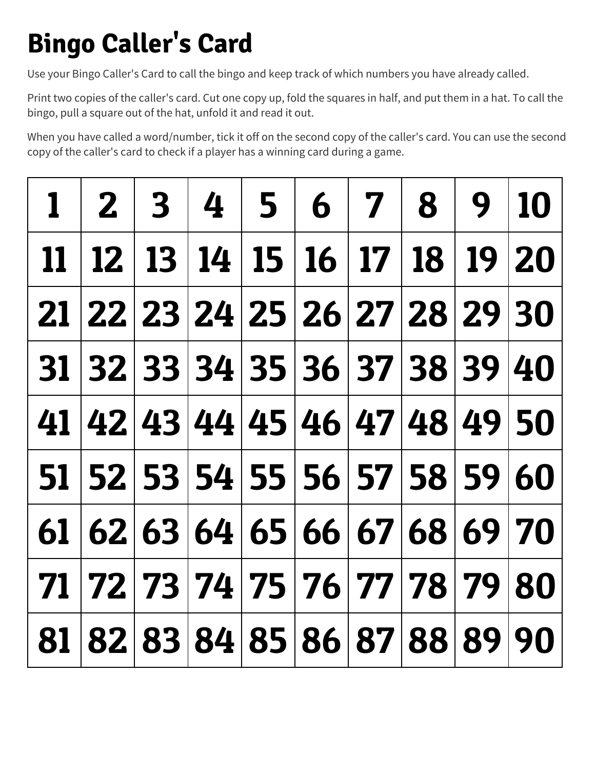# **Bingo Caller's Card**

Use your Bingo Caller's Card to call the bingo and keep track of which numbers you have already called.

Print two copies of the caller's card. Cut one copy up, fold the squares in half, and put them in a hat. To call the bingo, pull a square out of the hat, unfold it and read it out.

When you have called a word/number, tick it off on the second copy of the caller's card. You can use the second copy of the caller's card to check if a player has a winning card during a game.

|  |  |  | $1   2   3   4   5   6   7   8   9   10$          |  |
|--|--|--|---------------------------------------------------|--|
|  |  |  | 11   12   13   14   15   16   17   18   19   20   |  |
|  |  |  | 21 22 23 24 25 26 27 28 29 30                     |  |
|  |  |  | 31 32 33 34 35 36 37 38 39 40                     |  |
|  |  |  | 41 42 43 44 45 46 47 48 49 50                     |  |
|  |  |  | 51 52 53 54 55 56 57 58 59 60                     |  |
|  |  |  | $61   62   63   64   65   66   67   68   69   70$ |  |
|  |  |  | 71   72   73   74   75   76   77   78   79   80   |  |
|  |  |  | 81 82 83 84 85 86 87 88 89 90                     |  |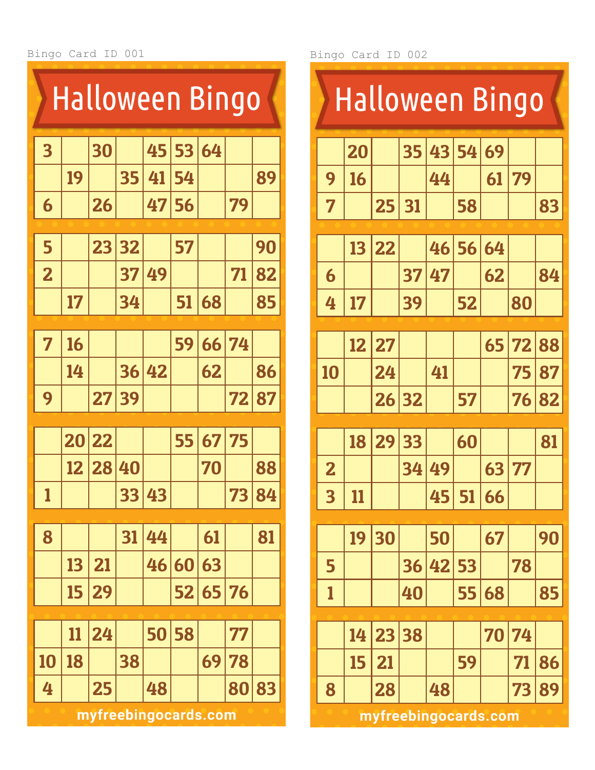| <b>Halloween Bingo</b>  |                            |    |    |                      |    |    |    |    |  |  |  |  |
|-------------------------|----------------------------|----|----|----------------------|----|----|----|----|--|--|--|--|
| 3                       |                            | 30 |    | 45                   | 53 | 64 |    |    |  |  |  |  |
|                         | 19                         |    | 35 | 41                   | 54 |    |    | 89 |  |  |  |  |
| 6                       |                            | 26 |    | 47                   | 56 |    | 79 |    |  |  |  |  |
|                         |                            |    |    |                      |    |    |    |    |  |  |  |  |
| 5                       |                            | 23 | 32 |                      | 57 |    |    | 90 |  |  |  |  |
| $\overline{\mathbf{2}}$ | 49<br>71<br>37<br>82       |    |    |                      |    |    |    |    |  |  |  |  |
|                         | 51<br>17<br>68<br>34<br>85 |    |    |                      |    |    |    |    |  |  |  |  |
|                         |                            |    |    |                      |    |    |    |    |  |  |  |  |
| 7                       | 16                         |    |    |                      | 59 | 66 | 74 |    |  |  |  |  |
|                         | 14                         |    | 36 | 42                   |    | 62 |    | 86 |  |  |  |  |
| 9                       |                            | 27 | 39 |                      |    |    | 72 | 87 |  |  |  |  |
|                         |                            |    |    |                      |    |    |    |    |  |  |  |  |
|                         | 20                         | 22 |    |                      | 55 | 67 | 75 |    |  |  |  |  |
|                         | 12                         | 28 | 40 |                      |    | 70 |    | 88 |  |  |  |  |
| 1                       |                            |    | 33 | 43                   |    |    | 73 | 84 |  |  |  |  |
|                         |                            |    |    |                      |    |    |    |    |  |  |  |  |
| 8                       |                            |    | 31 | 44                   |    | 61 |    | 81 |  |  |  |  |
|                         | 13                         | 21 |    | 46                   | 60 | 63 |    |    |  |  |  |  |
|                         | 15                         | 29 |    |                      | 52 | 65 | 76 |    |  |  |  |  |
|                         |                            |    |    |                      |    |    |    |    |  |  |  |  |
|                         | 11                         | 24 |    | 50                   | 58 |    | 77 |    |  |  |  |  |
| 10                      | 18                         |    | 38 |                      |    | 69 | 78 |    |  |  |  |  |
| 4                       |                            | 25 |    | 48                   |    |    | 80 | 83 |  |  |  |  |
|                         |                            |    |    | myfreebingocards.com |    |    |    |    |  |  |  |  |

Bingo Card ID 002

|                         | <b>Halloween Bingo</b> |    |    |    |    |    |    |    |  |  |  |  |
|-------------------------|------------------------|----|----|----|----|----|----|----|--|--|--|--|
|                         | 20                     |    | 35 | 43 | 54 | 69 |    |    |  |  |  |  |
| 9                       | 16                     |    |    | 44 |    | 61 | 79 |    |  |  |  |  |
| 7                       |                        | 25 | 31 |    | 58 |    |    | 83 |  |  |  |  |
|                         |                        |    |    |    |    |    |    |    |  |  |  |  |
|                         | 13                     | 22 |    | 46 | 56 | 64 |    |    |  |  |  |  |
| 6                       |                        |    | 37 | 47 |    | 62 |    | 84 |  |  |  |  |
| 4                       | 17                     |    | 39 |    | 52 |    | 80 |    |  |  |  |  |
|                         |                        |    |    |    |    |    |    |    |  |  |  |  |
|                         | 12                     | 27 |    |    |    | 65 | 72 | 88 |  |  |  |  |
| 10                      |                        | 24 |    | 41 |    |    | 75 | 87 |  |  |  |  |
|                         |                        | 26 | 32 |    | 57 |    | 76 | 82 |  |  |  |  |
|                         |                        |    |    |    |    |    |    |    |  |  |  |  |
|                         | 18                     | 29 | 33 |    | 60 |    |    | 81 |  |  |  |  |
| $\overline{\mathbf{2}}$ |                        |    | 34 | 49 |    | 63 | 77 |    |  |  |  |  |
| $\overline{\mathbf{3}}$ | <u>11</u>              |    |    | 45 | 51 | 66 |    |    |  |  |  |  |
|                         |                        |    |    |    |    |    |    |    |  |  |  |  |
|                         | 19                     | 30 |    | 50 |    | 67 |    | 90 |  |  |  |  |
| 5                       |                        |    | 36 | 42 | 53 |    | 78 |    |  |  |  |  |
| 1                       |                        |    | 40 |    | 55 | 68 |    | 85 |  |  |  |  |
|                         |                        |    |    |    |    |    |    |    |  |  |  |  |
|                         | 14                     | 23 | 38 |    |    | 70 | 74 |    |  |  |  |  |
|                         | 15                     | 21 |    |    | 59 |    | 71 | 86 |  |  |  |  |
| 8                       |                        | 28 |    | 48 |    |    | 73 | 89 |  |  |  |  |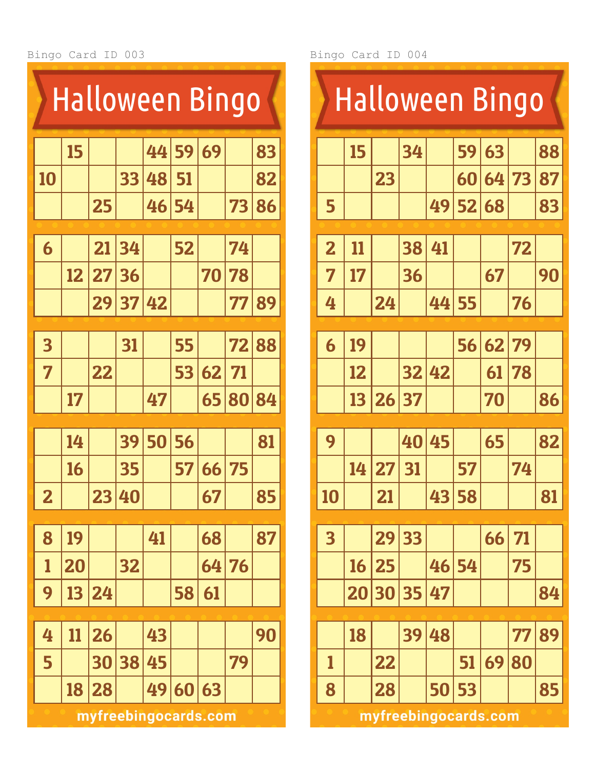| <b>Halloween Bingo</b>  |    |    |    |    |    |    |    |    |  |  |  |
|-------------------------|----|----|----|----|----|----|----|----|--|--|--|
|                         | 15 |    |    | 44 | 59 | 69 |    | 83 |  |  |  |
| 10                      |    |    | 33 | 48 | 51 |    |    | 82 |  |  |  |
|                         |    | 25 |    | 46 | 54 |    | 73 | 86 |  |  |  |
|                         |    |    |    |    |    |    |    |    |  |  |  |
| 6                       |    | 21 | 34 |    | 52 |    | 74 |    |  |  |  |
|                         | 12 | 27 | 36 |    |    | 70 | 78 |    |  |  |  |
|                         |    | 29 | 37 | 42 |    |    | 77 | 89 |  |  |  |
|                         |    |    |    |    |    |    |    |    |  |  |  |
| $\overline{\mathbf{3}}$ |    |    | 31 |    | 55 |    | 72 | 88 |  |  |  |
| 7                       |    | 22 |    |    | 53 | 62 | 71 |    |  |  |  |
|                         | 17 |    |    | 47 |    | 65 | 80 | 84 |  |  |  |
|                         | 14 |    | 39 | 50 | 56 |    |    | 81 |  |  |  |
|                         | 16 |    | 35 |    | 57 | 66 | 75 |    |  |  |  |
|                         |    |    |    |    |    |    |    |    |  |  |  |
| $\overline{\mathbf{2}}$ |    | 23 | 40 |    |    | 67 |    | 85 |  |  |  |
|                         |    |    |    |    |    |    |    |    |  |  |  |
| 8                       | 19 |    |    | 41 |    | 68 |    | 87 |  |  |  |
| 1                       | 20 |    | 32 |    |    | 64 | 76 |    |  |  |  |
| 9                       | 13 | 24 |    |    | 58 | 61 |    |    |  |  |  |
|                         |    |    |    |    |    |    |    |    |  |  |  |
| 4                       | 11 | 26 |    | 43 |    |    |    | 90 |  |  |  |
| 5                       |    | 30 | 38 | 45 |    |    | 79 |    |  |  |  |
|                         | 18 | 28 |    | 49 | 60 | 63 |    |    |  |  |  |

| 59<br>34<br>63<br>15<br>23<br>73<br>60<br>64<br>5<br>52<br>49<br>68<br>$\overline{\mathbf{2}}$<br>72<br>38<br>41<br>11<br>7<br>36<br>67<br>17<br>24<br>55<br>4<br>44<br>76<br>62<br>56<br>79<br>19<br>6<br>32<br>12<br>42<br>78<br>61<br>26<br>37<br>13<br>70<br>9<br>45<br>40<br>65<br>57<br>14<br>27<br>31<br>74<br>43<br>58<br>21<br>10<br>33<br>$\overline{\mathbf{3}}$<br>29<br>71<br>66<br>25<br>54<br>75<br>16<br>46<br>35<br>30<br>47<br>20<br>89<br>39<br>18<br>48<br>77<br>51<br>69<br>22<br>80<br>1 | <b>Halloween Bingo</b> |  |  |  |  |  |  |  |    |  |  |  |
|----------------------------------------------------------------------------------------------------------------------------------------------------------------------------------------------------------------------------------------------------------------------------------------------------------------------------------------------------------------------------------------------------------------------------------------------------------------------------------------------------------------|------------------------|--|--|--|--|--|--|--|----|--|--|--|
|                                                                                                                                                                                                                                                                                                                                                                                                                                                                                                                |                        |  |  |  |  |  |  |  | 88 |  |  |  |
|                                                                                                                                                                                                                                                                                                                                                                                                                                                                                                                |                        |  |  |  |  |  |  |  | 87 |  |  |  |
|                                                                                                                                                                                                                                                                                                                                                                                                                                                                                                                |                        |  |  |  |  |  |  |  | 83 |  |  |  |
|                                                                                                                                                                                                                                                                                                                                                                                                                                                                                                                |                        |  |  |  |  |  |  |  |    |  |  |  |
|                                                                                                                                                                                                                                                                                                                                                                                                                                                                                                                |                        |  |  |  |  |  |  |  | 90 |  |  |  |
|                                                                                                                                                                                                                                                                                                                                                                                                                                                                                                                |                        |  |  |  |  |  |  |  |    |  |  |  |
|                                                                                                                                                                                                                                                                                                                                                                                                                                                                                                                |                        |  |  |  |  |  |  |  |    |  |  |  |
|                                                                                                                                                                                                                                                                                                                                                                                                                                                                                                                |                        |  |  |  |  |  |  |  |    |  |  |  |
|                                                                                                                                                                                                                                                                                                                                                                                                                                                                                                                |                        |  |  |  |  |  |  |  |    |  |  |  |
|                                                                                                                                                                                                                                                                                                                                                                                                                                                                                                                |                        |  |  |  |  |  |  |  | 86 |  |  |  |
|                                                                                                                                                                                                                                                                                                                                                                                                                                                                                                                |                        |  |  |  |  |  |  |  | 82 |  |  |  |
|                                                                                                                                                                                                                                                                                                                                                                                                                                                                                                                |                        |  |  |  |  |  |  |  |    |  |  |  |
|                                                                                                                                                                                                                                                                                                                                                                                                                                                                                                                |                        |  |  |  |  |  |  |  | 81 |  |  |  |
|                                                                                                                                                                                                                                                                                                                                                                                                                                                                                                                |                        |  |  |  |  |  |  |  |    |  |  |  |
|                                                                                                                                                                                                                                                                                                                                                                                                                                                                                                                |                        |  |  |  |  |  |  |  |    |  |  |  |
|                                                                                                                                                                                                                                                                                                                                                                                                                                                                                                                |                        |  |  |  |  |  |  |  | 84 |  |  |  |
|                                                                                                                                                                                                                                                                                                                                                                                                                                                                                                                |                        |  |  |  |  |  |  |  |    |  |  |  |
|                                                                                                                                                                                                                                                                                                                                                                                                                                                                                                                |                        |  |  |  |  |  |  |  |    |  |  |  |
|                                                                                                                                                                                                                                                                                                                                                                                                                                                                                                                |                        |  |  |  |  |  |  |  |    |  |  |  |
| 53<br>8<br>50<br>28                                                                                                                                                                                                                                                                                                                                                                                                                                                                                            |                        |  |  |  |  |  |  |  | 85 |  |  |  |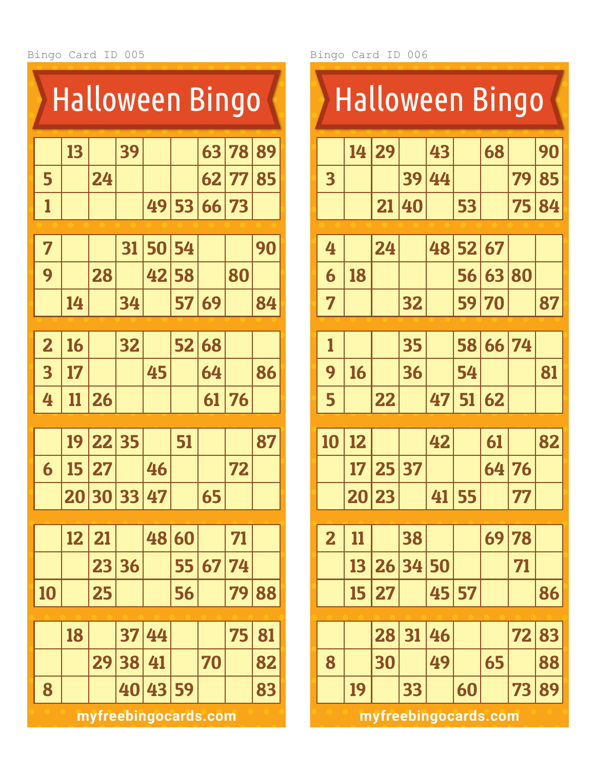| <b>Halloween Bingo</b>  |    |    |    |                      |    |          |    |    |  |  |  |
|-------------------------|----|----|----|----------------------|----|----------|----|----|--|--|--|
|                         | 13 |    | 39 |                      |    | 63       | 78 | 89 |  |  |  |
| 5                       |    | 24 |    |                      |    | 62       | 77 | 85 |  |  |  |
| 1                       |    |    |    | 49                   |    | 53 66 73 |    |    |  |  |  |
|                         |    |    |    |                      |    |          |    |    |  |  |  |
| 7                       |    |    | 31 | 50                   | 54 |          |    | 90 |  |  |  |
| 9                       |    | 28 |    | 42                   | 58 |          | 80 |    |  |  |  |
|                         | 14 |    | 34 |                      | 57 | 69       |    | 84 |  |  |  |
|                         |    |    |    |                      |    |          |    |    |  |  |  |
| $\overline{\mathbf{2}}$ | 16 |    | 32 |                      | 52 | 68       |    |    |  |  |  |
| 3                       | 17 |    |    | 45                   |    | 64       |    | 86 |  |  |  |
| 4                       | 11 | 26 |    |                      |    | 61       | 76 |    |  |  |  |
|                         | 19 | 22 | 35 |                      | 51 |          |    | 87 |  |  |  |
| 6                       | 15 | 27 |    | 46                   |    |          | 72 |    |  |  |  |
|                         | 20 | 30 | 33 | 47                   |    | 65       |    |    |  |  |  |
|                         |    |    |    |                      |    |          |    |    |  |  |  |
|                         | 12 | 21 |    | 48                   | 60 |          | 71 |    |  |  |  |
|                         |    | 23 | 36 |                      | 55 | 67       | 74 |    |  |  |  |
| 10                      |    | 25 |    |                      | 56 |          | 79 | 88 |  |  |  |
|                         | 18 |    | 37 | 44                   |    |          | 75 | 81 |  |  |  |
|                         |    | 29 | 38 | 41                   |    | 70       |    | 82 |  |  |  |
| 8                       |    |    | 40 | 43                   | 59 |          |    | 83 |  |  |  |
|                         |    |    |    | myfreebingocards.com |    |          |    |    |  |  |  |

| <b>Halloween Bingo</b>  |    |           |    |    |       |                  |    |    |  |  |  |
|-------------------------|----|-----------|----|----|-------|------------------|----|----|--|--|--|
|                         | 14 | 29        |    | 43 |       | 68               |    | 90 |  |  |  |
| 3                       |    |           | 39 | 44 |       |                  | 79 | 85 |  |  |  |
|                         |    | 21        | 40 |    | 53    |                  | 75 | 84 |  |  |  |
|                         |    |           |    |    | 48 52 |                  |    |    |  |  |  |
| 4                       |    | 24        |    |    |       | $\vert 67 \vert$ |    |    |  |  |  |
| 6                       | 18 |           |    |    | 56    | 63               | 80 |    |  |  |  |
| 7                       |    |           | 32 |    | 59    | <b>70</b>        |    | 87 |  |  |  |
| 1                       |    |           | 35 |    | 58    | 66               | 74 |    |  |  |  |
| 9                       | 16 |           | 36 |    | 54    |                  |    | 81 |  |  |  |
| 5                       |    | 22        |    | 47 | 51    | 62               |    |    |  |  |  |
|                         |    |           |    |    |       |                  |    |    |  |  |  |
|                         |    |           |    |    |       |                  |    |    |  |  |  |
| 10                      | 12 |           |    | 42 |       | 61               |    | 82 |  |  |  |
|                         | 17 | 25        | 37 |    |       | 64               | 76 |    |  |  |  |
|                         |    | 20 23     |    | 41 | 55    |                  | 77 |    |  |  |  |
|                         |    |           |    |    |       |                  |    |    |  |  |  |
| $\overline{\mathbf{2}}$ | 11 |           | 38 |    |       | 69               | 78 |    |  |  |  |
|                         | 13 | 26        | 34 | 50 |       |                  | 71 |    |  |  |  |
|                         | 15 | 27        |    | 45 | 57    |                  |    | 86 |  |  |  |
|                         |    | 28        | 31 | 46 |       |                  | 72 | 83 |  |  |  |
| 8                       |    | <b>30</b> |    | 49 |       | 65               |    | 88 |  |  |  |
|                         | 19 |           | 33 |    | 60    |                  | 73 | 89 |  |  |  |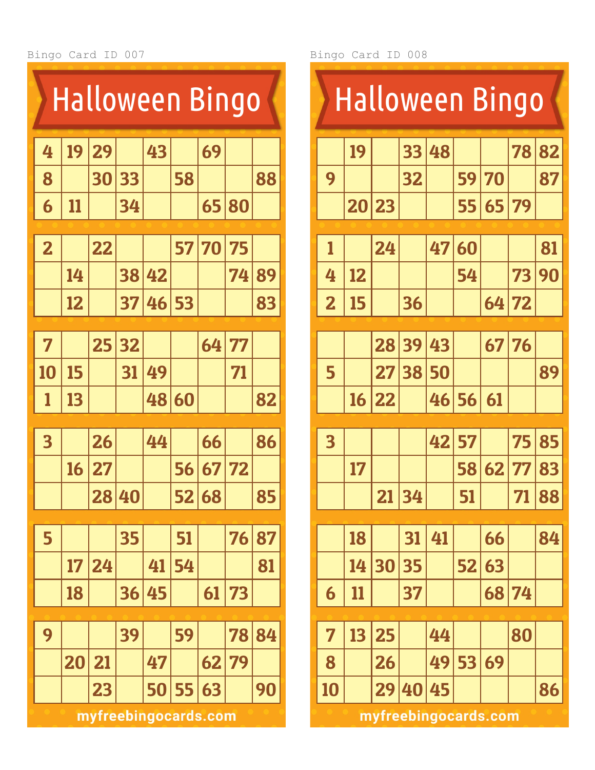

Bingo Card ID 008

|                         | <b>Halloween Bingo</b> |    |    |    |    |    |    |    |  |  |  |  |
|-------------------------|------------------------|----|----|----|----|----|----|----|--|--|--|--|
|                         | 19                     |    | 33 | 48 |    |    | 78 | 82 |  |  |  |  |
| 9                       |                        |    | 32 |    | 59 | 70 |    | 87 |  |  |  |  |
|                         | 20                     | 23 |    |    | 55 | 65 | 79 |    |  |  |  |  |
|                         |                        |    |    |    |    |    |    |    |  |  |  |  |
| 1                       |                        | 24 |    | 47 | 60 |    |    | 81 |  |  |  |  |
| 4                       | 12                     |    |    |    | 54 |    | 73 | 90 |  |  |  |  |
| $\overline{\mathbf{2}}$ | 15                     |    | 36 |    |    | 64 | 72 |    |  |  |  |  |
|                         |                        | 28 | 39 | 43 |    | 67 | 76 |    |  |  |  |  |
| 5                       |                        | 27 | 38 | 50 |    |    |    | 89 |  |  |  |  |
|                         | 16                     | 22 |    | 46 | 56 | 61 |    |    |  |  |  |  |
| $\overline{\mathbf{3}}$ |                        |    |    | 42 | 57 |    | 75 | 85 |  |  |  |  |
|                         | 17                     |    |    |    | 58 | 62 | 77 | 83 |  |  |  |  |
|                         |                        | 21 | 34 |    | 51 |    | 71 | 88 |  |  |  |  |
|                         |                        |    |    |    |    |    |    |    |  |  |  |  |
|                         | 18                     |    | 31 | 41 |    | 66 |    | 84 |  |  |  |  |
|                         | 14                     | 30 | 35 |    | 52 | 63 |    |    |  |  |  |  |
| 6                       | <u>11</u>              |    | 37 |    |    | 68 | 74 |    |  |  |  |  |
| 7                       | 13                     | 25 |    | 44 |    |    | 80 |    |  |  |  |  |
| 8                       |                        | 26 |    | 49 | 53 | 69 |    |    |  |  |  |  |
| 10                      |                        | 29 | 40 | 45 |    |    |    | 86 |  |  |  |  |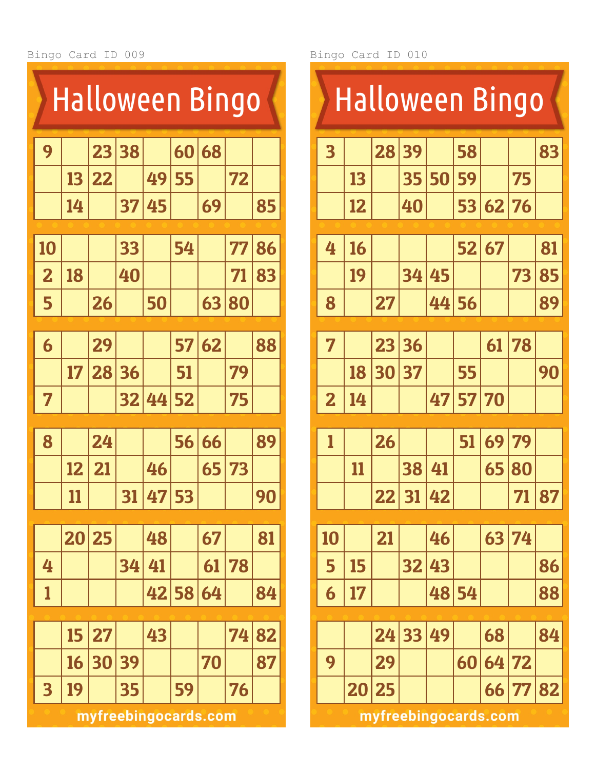|                         | <u>Halloween Bingo</u> |    |    |       |                      |    |    |    |  |  |  |
|-------------------------|------------------------|----|----|-------|----------------------|----|----|----|--|--|--|
| 9                       |                        | 23 | 38 |       | 60                   | 68 |    |    |  |  |  |
|                         | 13                     | 22 |    | 49    | 55                   |    | 72 |    |  |  |  |
|                         | 14                     |    | 37 | 45    |                      | 69 |    | 85 |  |  |  |
|                         |                        |    |    |       |                      |    |    |    |  |  |  |
| 10                      |                        |    | 33 |       | 54                   |    | 77 | 86 |  |  |  |
| $\overline{\mathbf{2}}$ | 18                     |    | 40 |       |                      |    | 71 | 83 |  |  |  |
| 5                       |                        | 26 |    | 50    |                      | 63 | 80 |    |  |  |  |
|                         |                        |    |    |       |                      |    |    |    |  |  |  |
| 6                       |                        | 29 |    |       | 57                   | 62 |    | 88 |  |  |  |
|                         | 17                     | 28 | 36 |       | 51                   |    | 79 |    |  |  |  |
| 7                       |                        |    | 32 | 44 52 |                      |    | 75 |    |  |  |  |
|                         |                        |    |    |       |                      |    |    |    |  |  |  |
| 8                       |                        | 24 |    |       | 56                   | 66 |    | 89 |  |  |  |
|                         | 12                     | 21 |    | 46    |                      | 65 | 73 |    |  |  |  |
|                         | 11                     |    | 31 | 47    | 53                   |    |    | 90 |  |  |  |
|                         | 20                     | 25 |    | 48    |                      | 67 |    | 81 |  |  |  |
| 4                       |                        |    | 34 | 41    |                      | 61 | 78 |    |  |  |  |
| 1                       |                        |    |    |       | 42 58 64             |    |    | 84 |  |  |  |
|                         |                        |    |    |       |                      |    |    |    |  |  |  |
|                         | 15                     | 27 |    | 43    |                      |    | 74 | 82 |  |  |  |
|                         | 16                     | 30 | 39 |       |                      | 70 |    | 87 |  |  |  |
| 3                       | 19                     |    | 35 |       | 59                   |    | 76 |    |  |  |  |
|                         |                        |    |    |       | myfreebingocards.com |    |    |    |  |  |  |

|                         | <b>Halloween Bingo</b> |           |                                        |       |       |       |       |       |  |  |  |  |  |
|-------------------------|------------------------|-----------|----------------------------------------|-------|-------|-------|-------|-------|--|--|--|--|--|
| $\overline{\mathbf{3}}$ |                        | 28        | 39                                     |       | 58    |       |       | 83    |  |  |  |  |  |
|                         | 13                     |           | 35                                     | 50    | 59    |       | 75    |       |  |  |  |  |  |
|                         | 12                     |           | 40                                     |       | 53    | 62 76 |       |       |  |  |  |  |  |
| 4                       | 16                     |           |                                        |       | 52    | 67    |       | 81    |  |  |  |  |  |
|                         | 19                     |           | 34                                     |       |       |       | 73    |       |  |  |  |  |  |
|                         |                        |           |                                        | 45    |       |       |       | 85    |  |  |  |  |  |
| 8                       |                        | 27        |                                        | 44    | 56    |       |       | 89    |  |  |  |  |  |
| $\overline{7}$          |                        | 23        | 36                                     |       |       | 61    | 78    |       |  |  |  |  |  |
|                         | 18                     | 30        | 37                                     |       | 55    |       |       | 90    |  |  |  |  |  |
| $\overline{\mathbf{z}}$ | 14                     |           |                                        | 47    | 57    | 70    |       |       |  |  |  |  |  |
| 1                       |                        | 26        |                                        |       | 51    | 69    | 79    |       |  |  |  |  |  |
|                         | 11                     |           | 38                                     | 41    |       | 65    | 80    |       |  |  |  |  |  |
|                         |                        | $\bf{22}$ |                                        | 31 42 |       |       |       | 71 87 |  |  |  |  |  |
|                         |                        |           |                                        |       |       |       |       |       |  |  |  |  |  |
| 10                      |                        | 21        |                                        | 46    |       |       | 63 74 |       |  |  |  |  |  |
| 5                       | 15                     |           | 32                                     | 43    |       |       |       | 86    |  |  |  |  |  |
| 6                       | 17                     |           |                                        |       | 48 54 |       |       | 88    |  |  |  |  |  |
|                         |                        | 24        | 33                                     | 49    |       | 68    |       | 84    |  |  |  |  |  |
| 9                       |                        | 29        |                                        |       | 60    | 64    | 72    |       |  |  |  |  |  |
|                         |                        |           |                                        |       |       |       |       | 82    |  |  |  |  |  |
|                         |                        |           | 20 25<br>66 77<br>myfreebingocards.com |       |       |       |       |       |  |  |  |  |  |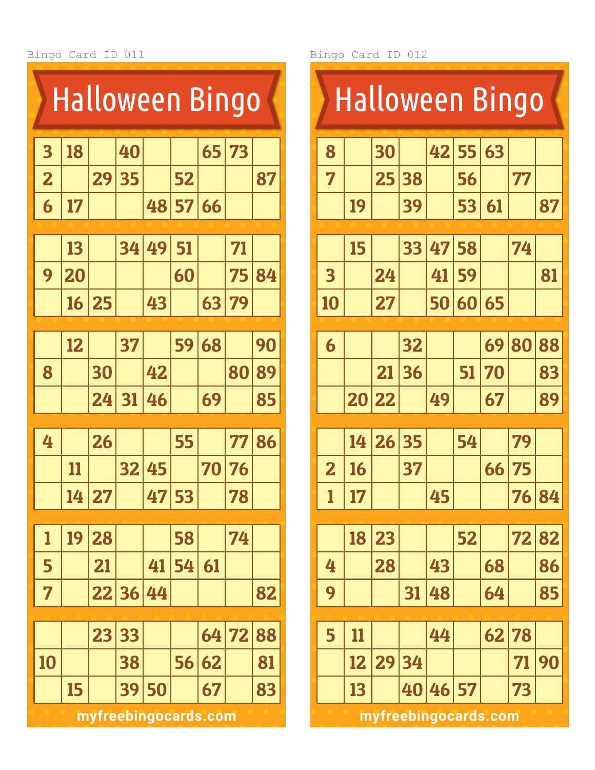| <b>Halloween Bingo</b>  |    |    |    |                      |    |    |    |    |  |  |
|-------------------------|----|----|----|----------------------|----|----|----|----|--|--|
| $\overline{\mathbf{3}}$ | 18 |    | 40 |                      |    | 65 | 73 |    |  |  |
| $\overline{\mathbf{2}}$ |    | 29 | 35 |                      | 52 |    |    | 87 |  |  |
| 6                       | 17 |    |    | 48                   | 57 | 66 |    |    |  |  |
|                         |    |    |    |                      |    |    |    |    |  |  |
|                         | 13 |    | 34 | 49                   | 51 |    | 71 |    |  |  |
| 9                       | 20 |    |    |                      | 60 |    | 75 | 84 |  |  |
|                         | 16 | 25 |    | 43                   |    | 63 | 79 |    |  |  |
|                         |    |    |    |                      |    |    |    |    |  |  |
|                         | 12 |    | 37 |                      | 59 | 68 |    | 90 |  |  |
| 8                       |    | 30 |    | 42                   |    |    | 80 | 89 |  |  |
|                         |    | 24 | 31 | 46                   |    | 69 |    | 85 |  |  |
|                         |    |    |    |                      |    |    |    |    |  |  |
| 4                       |    | 26 |    |                      | 55 |    | 77 | 86 |  |  |
|                         | 11 |    | 32 | 45                   |    | 70 | 76 |    |  |  |
|                         | 14 | 27 |    | 47                   | 53 |    | 78 |    |  |  |
|                         |    |    |    |                      |    |    |    |    |  |  |
| 1                       | 19 | 28 |    |                      | 58 |    | 74 |    |  |  |
| 5                       |    | 21 |    | 41                   | 54 | 61 |    |    |  |  |
| 7                       |    | 22 | 36 | 44                   |    |    |    | 82 |  |  |
|                         |    |    |    |                      |    |    |    |    |  |  |
|                         |    | 23 | 33 |                      |    | 64 | 72 | 88 |  |  |
| 10                      |    |    | 38 |                      | 56 | 62 |    | 81 |  |  |
|                         | 15 |    | 39 | 50                   |    | 67 |    | 83 |  |  |
|                         |    |    |    | myfreebingocards.com |    |    |    |    |  |  |

| <b>Halloween Bingo</b>  |       |                      |    |    |    |    |    |       |  |  |  |
|-------------------------|-------|----------------------|----|----|----|----|----|-------|--|--|--|
| 8                       |       | 30                   |    | 42 | 55 | 63 |    |       |  |  |  |
| 7                       |       | 25                   | 38 |    | 56 |    | 77 |       |  |  |  |
|                         | 19    |                      | 39 |    | 53 | 61 |    | 87    |  |  |  |
|                         |       |                      |    |    |    |    |    |       |  |  |  |
|                         | 15    |                      | 33 | 47 | 58 |    | 74 |       |  |  |  |
| 3                       |       | 24                   |    | 41 | 59 |    |    | 81    |  |  |  |
| 10                      |       | 27                   |    | 50 | 60 | 65 |    |       |  |  |  |
|                         |       |                      |    |    |    |    |    |       |  |  |  |
| 6                       |       |                      | 32 |    |    | 69 | 80 | 88    |  |  |  |
|                         |       | 21                   | 36 |    | 51 | 70 |    | 83    |  |  |  |
|                         | 20 22 |                      |    | 49 |    | 67 |    | 89    |  |  |  |
|                         |       |                      |    |    |    |    |    |       |  |  |  |
|                         | 14    | 26                   | 35 |    | 54 |    | 79 |       |  |  |  |
| $\overline{\mathbf{2}}$ | 16    |                      | 37 |    |    | 66 | 75 |       |  |  |  |
| $\mathbf{1}$            | 17    |                      |    | 45 |    |    |    | 76 84 |  |  |  |
|                         |       |                      |    |    |    |    |    |       |  |  |  |
|                         | 18    | 23                   |    |    | 52 |    | 72 | 82    |  |  |  |
| 4                       |       | 28                   |    | 43 |    | 68 |    | 86    |  |  |  |
| 9                       |       |                      | 31 | 48 |    | 64 |    | 85    |  |  |  |
|                         |       |                      |    |    |    |    |    |       |  |  |  |
| 5                       | 11    |                      |    | 44 |    | 62 | 78 |       |  |  |  |
|                         | 12    | 29                   | 34 |    |    |    | 71 | 90    |  |  |  |
|                         | 13    |                      | 40 | 46 | 57 |    | 73 |       |  |  |  |
|                         |       | myfreebingocards.com |    |    |    |    |    |       |  |  |  |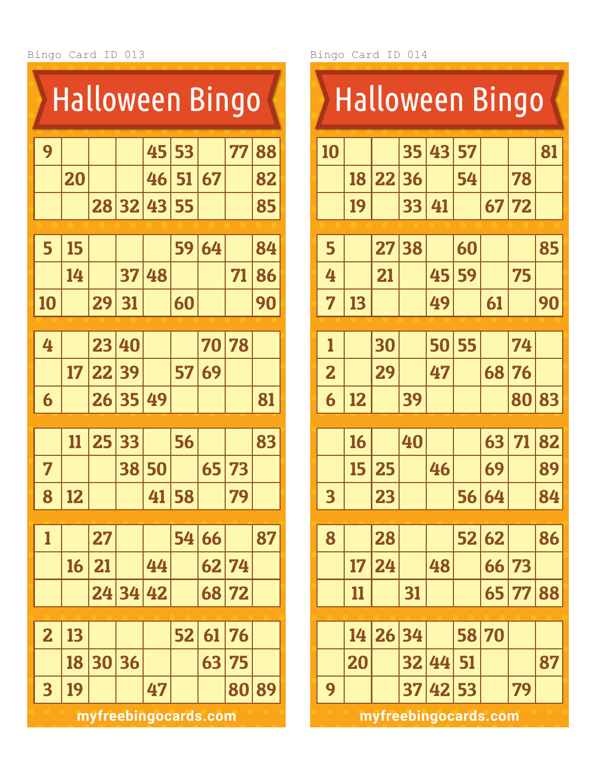|                         |    | <b>Halloween Bingo</b> |       |    |    |    |    |    |
|-------------------------|----|------------------------|-------|----|----|----|----|----|
| 9                       |    |                        |       | 45 | 53 |    | 77 | 88 |
|                         | 20 |                        |       | 46 | 51 | 67 |    | 82 |
|                         |    | 28                     | 32    | 43 | 55 |    |    | 85 |
|                         |    |                        |       |    |    |    |    |    |
| 5                       | 15 |                        |       |    | 59 | 64 |    | 84 |
|                         | 14 |                        | 37    | 48 |    |    | 71 | 86 |
| 10                      |    | 29                     | 31    |    | 60 |    |    | 90 |
|                         |    |                        |       |    |    |    |    |    |
| 4                       |    | 23                     | 40    |    |    | 70 | 78 |    |
|                         | 17 | 22                     | 39    |    | 57 | 69 |    |    |
| 6                       |    | 26                     | 35    | 49 |    |    |    | 81 |
|                         |    |                        |       |    |    |    |    |    |
|                         | 11 | 25                     | 33    |    | 56 |    |    | 83 |
| 7                       |    |                        | 38    | 50 |    | 65 | 73 |    |
| 8                       | 12 |                        |       | 41 | 58 |    | 79 |    |
|                         |    |                        |       |    |    |    |    |    |
| 1                       |    | 27                     |       |    | 54 | 66 |    | 87 |
|                         | 16 | 21                     |       | 44 |    | 62 | 74 |    |
|                         |    | 24                     | 34 42 |    |    | 68 | 72 |    |
|                         |    |                        |       |    |    |    |    |    |
| $\overline{\mathbf{2}}$ | 13 |                        |       |    | 52 | 61 | 76 |    |
|                         | 18 | 30                     | 36    |    |    | 63 | 75 |    |
| $\overline{\mathbf{3}}$ | 19 |                        |       | 47 |    |    | 80 | 89 |
|                         |    | myfreebingocards.com   |       |    |    |    |    |    |

| <b>Halloween Bingo</b>  |    |                 |       |    |    |            |       |    |  |  |  |
|-------------------------|----|-----------------|-------|----|----|------------|-------|----|--|--|--|
| 10                      |    |                 | 35    | 43 | 57 |            |       | 81 |  |  |  |
|                         | 18 | 22 36           |       |    | 54 |            | 78    |    |  |  |  |
|                         | 19 |                 | 33    | 41 |    | 67         | 72    |    |  |  |  |
| 5                       |    | $\overline{27}$ | 38    |    | 60 |            |       | 85 |  |  |  |
| 4                       |    | 21              |       | 45 | 59 |            | 75    |    |  |  |  |
| 7                       | 13 |                 |       | 49 |    | 61         |       | 90 |  |  |  |
|                         |    |                 |       |    |    |            |       |    |  |  |  |
| 1                       |    | 30              |       | 50 | 55 |            | 74    |    |  |  |  |
| $\overline{\mathbf{z}}$ |    | 29              |       | 47 |    | 68         | 76    |    |  |  |  |
| 6                       | 12 |                 | 39    |    |    |            | 80    | 83 |  |  |  |
|                         | 16 |                 | 40    |    |    | 63         | 71    | 82 |  |  |  |
|                         | 15 | 25              |       | 46 |    | 69         |       | 89 |  |  |  |
| $\overline{\mathbf{3}}$ |    | 23              |       |    |    | 56 64      |       | 84 |  |  |  |
|                         |    |                 |       |    |    |            |       |    |  |  |  |
| 8                       |    | 28              |       |    | 52 | $\vert 62$ |       | 86 |  |  |  |
|                         | 17 | 24              |       | 48 |    | 66         | 73    |    |  |  |  |
|                         | 11 |                 | 31    |    |    |            | 65 77 | 88 |  |  |  |
|                         |    |                 |       |    |    |            |       |    |  |  |  |
|                         | 14 |                 | 26 34 |    | 58 | 70         |       |    |  |  |  |
|                         | 20 |                 | 32    | 44 | 51 |            |       | 87 |  |  |  |
| 9                       |    |                 | 37    | 42 | 53 |            | 79    |    |  |  |  |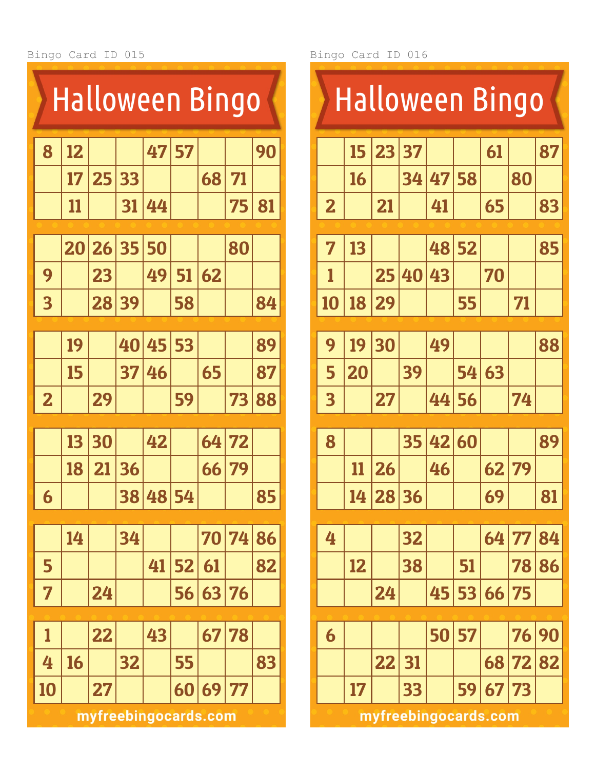|                         | <b>Halloween Bingo</b> |    |    |    |       |                      |    |    |  |  |  |  |
|-------------------------|------------------------|----|----|----|-------|----------------------|----|----|--|--|--|--|
| 8                       | 12                     |    |    | 47 | 57    |                      |    | 90 |  |  |  |  |
|                         | 17                     | 25 | 33 |    |       | 68                   | 71 |    |  |  |  |  |
|                         | 11                     |    | 31 | 44 |       |                      | 75 | 81 |  |  |  |  |
|                         | 20                     | 26 | 35 | 50 |       |                      | 80 |    |  |  |  |  |
| 9                       |                        | 23 |    | 49 | 51    | 62                   |    |    |  |  |  |  |
| $\overline{\mathbf{3}}$ |                        | 28 | 39 |    | 58    |                      |    | 84 |  |  |  |  |
|                         |                        |    |    |    |       |                      |    |    |  |  |  |  |
|                         | 19                     |    | 40 | 45 | 53    |                      |    | 89 |  |  |  |  |
|                         | 15                     |    | 37 | 46 |       | 65                   |    | 87 |  |  |  |  |
| $\overline{\mathbf{2}}$ |                        | 29 |    |    | 59    |                      | 73 | 88 |  |  |  |  |
|                         | 13                     | 30 |    | 42 |       | 64                   | 72 |    |  |  |  |  |
|                         | 18                     | 21 | 36 |    |       | 66                   | 79 |    |  |  |  |  |
| 6                       |                        |    | 38 |    | 48 54 |                      |    | 85 |  |  |  |  |
|                         | 14                     |    | 34 |    |       | 70                   | 74 | 86 |  |  |  |  |
| 5                       |                        |    |    | 41 | 52    | 61                   |    | 82 |  |  |  |  |
| 7                       |                        | 24 |    |    | 56    | 63                   | 76 |    |  |  |  |  |
|                         |                        |    |    |    |       |                      |    |    |  |  |  |  |
| 1                       |                        | 22 |    | 43 |       | 67                   | 78 |    |  |  |  |  |
| 4                       | 16                     |    | 32 |    | 55    |                      |    | 83 |  |  |  |  |
| 10                      |                        | 27 |    |    | 60    | 69                   | 77 |    |  |  |  |  |
|                         |                        |    |    |    |       | myfreebingocards.com |    |    |  |  |  |  |

|                         |    | <b>Halloween Bingo</b> |    |    |       |    |    |    |
|-------------------------|----|------------------------|----|----|-------|----|----|----|
|                         | 15 | 23                     | 37 |    |       | 61 |    | 87 |
|                         | 16 |                        | 34 | 47 | 58    |    | 80 |    |
| $\overline{\mathbf{2}}$ |    | 21                     |    | 41 |       | 65 |    | 83 |
|                         |    |                        |    |    |       |    |    |    |
| 7                       | 13 |                        |    |    | 48 52 |    |    | 85 |
| 1                       |    | 25                     | 40 | 43 |       | 70 |    |    |
| 10                      | 18 | 29                     |    |    | 55    |    | 71 |    |
| 9                       | 19 | 30                     |    | 49 |       |    |    | 88 |
| 5                       | 20 |                        | 39 |    | 54    | 63 |    |    |
| $\overline{\mathbf{3}}$ |    | 27                     |    | 44 | 56    |    | 74 |    |
| 8                       |    |                        | 35 | 42 | 60    |    |    | 89 |
|                         | 11 | 26                     |    | 46 |       | 62 | 79 |    |
|                         | 14 | 28 36                  |    |    |       | 69 |    | 81 |
|                         |    |                        |    |    |       |    |    |    |
| 4                       |    |                        | 32 |    |       | 64 | 77 | 84 |
|                         | 12 |                        | 38 |    | 51    |    | 78 | 86 |
|                         |    | 24                     |    | 45 | 53    | 66 | 75 |    |
| 6                       |    |                        |    | 50 | 57    |    | 76 | 90 |
|                         |    | 22                     | 31 |    |       | 68 | 72 | 82 |
|                         | 17 |                        | 33 |    | 59    | 67 | 73 |    |
|                         |    | myfreebingocards.com   |    |    |       |    |    |    |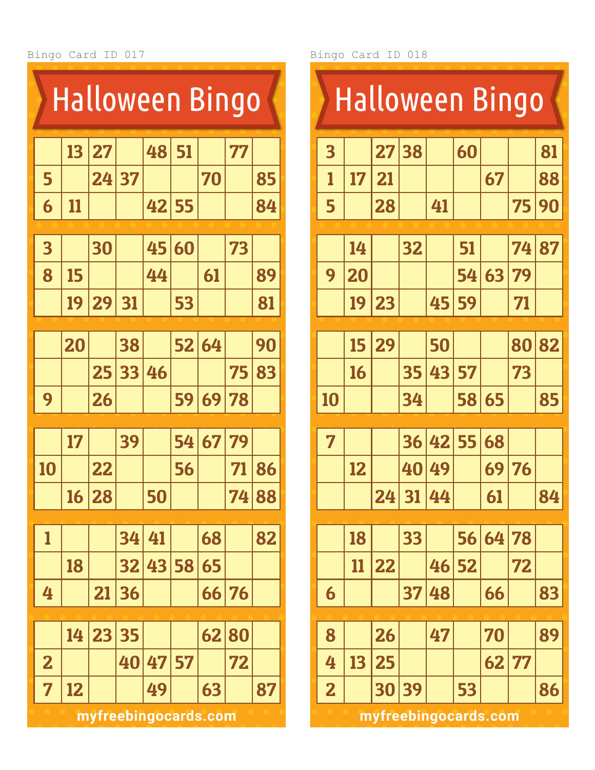Bingo Card ID 017 Bingo Card ID 018

| <b>Halloween Bingo</b>  |    |    |    |                            |    |       |    |    |  |  |  |
|-------------------------|----|----|----|----------------------------|----|-------|----|----|--|--|--|
|                         | 13 | 27 |    | 48                         | 51 |       | 77 |    |  |  |  |
| 5                       |    | 24 | 37 |                            |    | 70    |    | 85 |  |  |  |
| 6                       | 11 |    |    | 42                         | 55 |       |    | 84 |  |  |  |
|                         |    |    |    |                            |    |       |    |    |  |  |  |
| 3                       |    | 30 |    | 45                         | 60 |       | 73 |    |  |  |  |
| 8                       | 15 |    |    | 44                         |    | 61    |    | 89 |  |  |  |
|                         | 19 | 29 | 31 |                            | 53 |       |    | 81 |  |  |  |
|                         | 20 |    | 38 |                            | 52 | 64    |    | 90 |  |  |  |
|                         |    | 25 | 33 | 46                         |    |       | 75 | 83 |  |  |  |
| 9                       |    | 26 |    |                            | 59 | 69    | 78 |    |  |  |  |
|                         | 17 |    | 39 |                            | 54 | 67    | 79 |    |  |  |  |
|                         |    |    |    |                            |    |       |    |    |  |  |  |
| 10                      |    | 22 |    |                            | 56 |       | 71 | 86 |  |  |  |
|                         | 16 | 28 |    | 50                         |    |       | 74 | 88 |  |  |  |
| 1                       |    |    | 34 | 41                         |    | 68    |    | 82 |  |  |  |
|                         | 18 |    | 32 | 43                         | 58 | 65    |    |    |  |  |  |
| 4                       |    | 21 | 36 |                            |    | 66 76 |    |    |  |  |  |
|                         | 14 | 23 | 35 |                            |    | 62    | 80 |    |  |  |  |
|                         |    |    |    |                            |    |       |    |    |  |  |  |
| $\overline{\mathbf{2}}$ |    |    | 40 | 47                         | 57 |       | 72 |    |  |  |  |
| 7                       | 12 |    |    | 49<br>myfreebingocards.com |    | 63    |    | 87 |  |  |  |

| $\overline{\mathbf{3}}$ |    | <b>Halloween Bingo</b> |          |    |    |    |    |    |  |  |  |  |  |
|-------------------------|----|------------------------|----------|----|----|----|----|----|--|--|--|--|--|
|                         |    | 27                     | 38       |    | 60 |    |    | 81 |  |  |  |  |  |
| 1                       | 17 | 21                     |          |    |    | 67 |    | 88 |  |  |  |  |  |
| 5                       |    | 28                     |          | 41 |    |    | 75 | 90 |  |  |  |  |  |
|                         | 14 |                        | 32       |    | 51 |    | 74 | 87 |  |  |  |  |  |
| 9                       | 20 |                        |          |    | 54 | 63 | 79 |    |  |  |  |  |  |
|                         | 19 | 23                     |          | 45 | 59 |    | 71 |    |  |  |  |  |  |
|                         |    |                        |          |    |    |    |    |    |  |  |  |  |  |
|                         | 15 | 29                     |          | 50 |    |    | 80 | 82 |  |  |  |  |  |
|                         | 16 |                        | 35       | 43 | 57 |    | 73 |    |  |  |  |  |  |
| 10                      |    |                        | 34       |    | 58 | 65 |    | 85 |  |  |  |  |  |
| $\overline{7}$          |    |                        | 36       | 42 | 55 | 68 |    |    |  |  |  |  |  |
|                         | 12 |                        | 40       | 49 |    | 69 | 76 |    |  |  |  |  |  |
|                         |    |                        | 24 31 44 |    |    | 61 |    | 84 |  |  |  |  |  |
|                         | 18 |                        | 33       |    | 56 | 64 | 78 |    |  |  |  |  |  |
|                         | 11 | 22                     |          | 46 | 52 |    | 72 |    |  |  |  |  |  |
| 6                       |    |                        | 37       | 48 |    | 66 |    | 83 |  |  |  |  |  |
|                         |    |                        |          |    |    |    |    |    |  |  |  |  |  |
| 8                       |    | 26                     |          | 47 |    | 70 |    | 89 |  |  |  |  |  |
| 4                       | 13 | 25                     |          |    |    | 62 | 77 |    |  |  |  |  |  |
| $\overline{\mathbf{2}}$ |    | 30                     | 39       |    | 53 |    |    | 86 |  |  |  |  |  |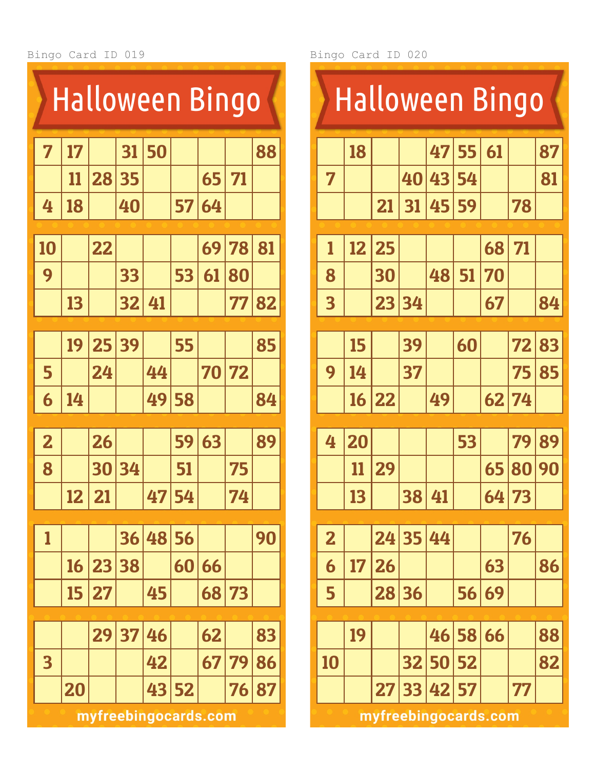|                            |    |       | <b>Halloween Bingo</b> |    |    |           |    |    |  |  |  |  |
|----------------------------|----|-------|------------------------|----|----|-----------|----|----|--|--|--|--|
| 7                          | 17 |       | 31                     | 50 |    |           |    | 88 |  |  |  |  |
|                            | 11 | 28    | 35                     |    |    | 65        | 71 |    |  |  |  |  |
| 4                          | 18 |       | 40                     |    | 57 | 64        |    |    |  |  |  |  |
| 10                         |    | 22    |                        |    |    | 69        | 78 | 81 |  |  |  |  |
| 9                          |    |       | 33                     |    | 53 | 61        | 80 |    |  |  |  |  |
| 32<br>13<br>77<br>82<br>41 |    |       |                        |    |    |           |    |    |  |  |  |  |
|                            |    |       |                        |    |    |           |    |    |  |  |  |  |
|                            | 19 | 25 39 |                        |    | 55 |           |    | 85 |  |  |  |  |
| 5                          |    | 24    |                        | 44 |    | <b>70</b> | 72 |    |  |  |  |  |
| 6                          | 14 |       |                        | 49 | 58 |           |    | 84 |  |  |  |  |
| $\overline{\mathbf{2}}$    |    | 26    |                        |    | 59 | 63        |    | 89 |  |  |  |  |
| 8                          |    | 30    | 34                     |    | 51 |           | 75 |    |  |  |  |  |
|                            | 12 | 21    |                        | 47 | 54 |           | 74 |    |  |  |  |  |
|                            |    |       |                        |    |    |           |    |    |  |  |  |  |
| 1                          |    |       | 36                     | 48 | 56 |           |    | 90 |  |  |  |  |
|                            | 16 | 23    | 38                     |    | 60 | 66        |    |    |  |  |  |  |
|                            | 15 | 27    |                        | 45 |    | 68        | 73 |    |  |  |  |  |
|                            |    |       |                        |    |    |           |    |    |  |  |  |  |
|                            |    | 29    | 37                     | 46 |    | 62        |    | 83 |  |  |  |  |
| 3                          |    |       |                        | 42 |    | 67        | 79 | 86 |  |  |  |  |
|                            | 20 |       |                        | 43 | 52 |           | 76 | 87 |  |  |  |  |
|                            |    |       |                        |    |    |           |    |    |  |  |  |  |

|                         | <b>Halloween Bingo</b> |                      |          |             |       |    |       |    |  |  |  |  |
|-------------------------|------------------------|----------------------|----------|-------------|-------|----|-------|----|--|--|--|--|
|                         | 18                     |                      |          | 47          | 55    | 61 |       | 87 |  |  |  |  |
| 7                       |                        |                      | 40       | 43          | 54    |    |       | 81 |  |  |  |  |
|                         |                        | 21                   | 31       | 45          | 59    |    | 78    |    |  |  |  |  |
| 1                       | 12                     | 25                   |          |             |       | 68 | 71    |    |  |  |  |  |
| 8                       |                        | 30                   |          | 48          | 51    | 70 |       |    |  |  |  |  |
| $\overline{\mathbf{3}}$ |                        | 23                   | 34       |             |       | 67 |       | 84 |  |  |  |  |
|                         |                        |                      |          |             |       |    |       |    |  |  |  |  |
|                         | 15                     |                      | 39       |             | 60    |    | 72    | 83 |  |  |  |  |
| 9                       | 14                     |                      | 37       |             |       |    | 75    | 85 |  |  |  |  |
|                         | 16                     | 22                   |          | 49          |       | 62 | 74    |    |  |  |  |  |
| 4                       | 20                     |                      |          |             | 53    |    | 79    | 89 |  |  |  |  |
|                         | 11                     | 29                   |          |             |       | 65 | 80    | 90 |  |  |  |  |
|                         | 13                     |                      | 38 41    |             |       |    | 64 73 |    |  |  |  |  |
|                         |                        |                      |          |             |       |    |       |    |  |  |  |  |
| $\overline{\mathbf{2}}$ |                        |                      | 24 35 44 |             |       |    | 76    |    |  |  |  |  |
| 6                       | 17                     | 26                   |          |             |       | 63 |       | 86 |  |  |  |  |
| 5                       |                        |                      | 28 36    |             | 56    | 69 |       |    |  |  |  |  |
|                         | 19                     |                      |          |             | 46 58 | 66 |       | 88 |  |  |  |  |
| 10                      |                        |                      |          | 32 50 52    |       |    |       | 82 |  |  |  |  |
|                         |                        |                      |          | 27 33 42 57 |       |    | 77    |    |  |  |  |  |
|                         |                        | myfreebingocards.com |          |             |       |    |       |    |  |  |  |  |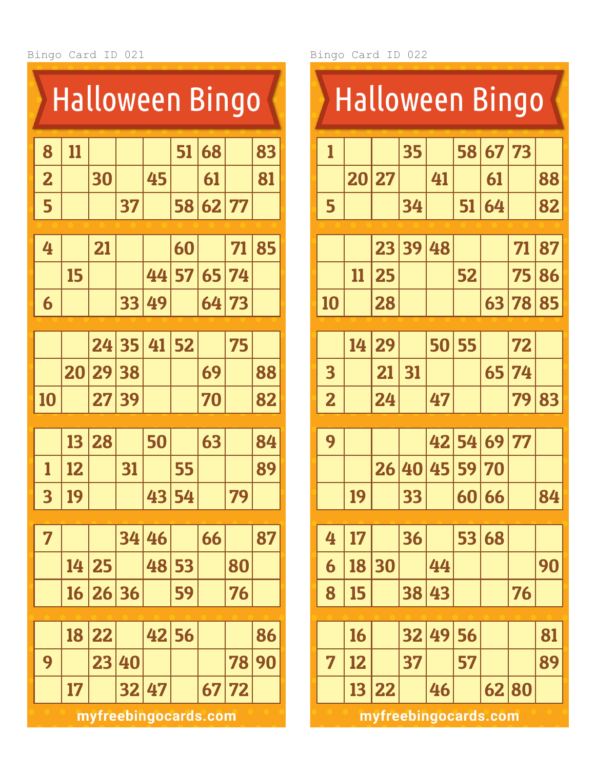|                         | Halloween Bingo |       |    |                      |    |       |    |    |  |  |  |  |
|-------------------------|-----------------|-------|----|----------------------|----|-------|----|----|--|--|--|--|
| 8                       | 11              |       |    |                      | 51 | 68    |    | 83 |  |  |  |  |
| $\overline{\mathbf{2}}$ |                 | 30    |    | 45                   |    | 61    |    | 81 |  |  |  |  |
| 5                       |                 |       | 37 |                      | 58 | 62    | 77 |    |  |  |  |  |
|                         |                 |       |    |                      |    |       |    |    |  |  |  |  |
| 4                       |                 | 21    |    |                      | 60 |       | 71 | 85 |  |  |  |  |
|                         | 15              |       |    | 44                   | 57 | 65    | 74 |    |  |  |  |  |
| 6                       |                 |       | 33 | 49                   |    | 64    | 73 |    |  |  |  |  |
|                         |                 |       |    |                      |    |       |    |    |  |  |  |  |
|                         |                 | 24    | 35 | 41                   | 52 |       | 75 |    |  |  |  |  |
|                         | 20              | 29    | 38 |                      |    | 69    |    | 88 |  |  |  |  |
| 10                      |                 | 27    | 39 |                      |    | 70    |    | 82 |  |  |  |  |
|                         |                 |       |    |                      |    |       |    |    |  |  |  |  |
|                         | 13              | 28    |    | 50                   |    | 63    |    | 84 |  |  |  |  |
| 1                       | 12              |       | 31 |                      | 55 |       |    | 89 |  |  |  |  |
| $\overline{\mathbf{3}}$ | 19              |       |    | 43                   | 54 |       | 79 |    |  |  |  |  |
| 7                       |                 |       | 34 | 46                   |    |       |    | 87 |  |  |  |  |
|                         |                 |       |    |                      |    | 66    |    |    |  |  |  |  |
|                         | 14              | 25    |    | 48                   | 53 |       | 80 |    |  |  |  |  |
|                         | <u>16</u>       | 26 36 |    |                      | 59 |       | 76 |    |  |  |  |  |
|                         | 18              | 22    |    | 42                   | 56 |       |    | 86 |  |  |  |  |
|                         |                 |       |    |                      |    |       |    |    |  |  |  |  |
| 9                       |                 | 23    | 40 |                      |    |       | 78 | 90 |  |  |  |  |
|                         | 17              |       | 32 | 47                   |    | 67 72 |    |    |  |  |  |  |
|                         |                 |       |    | myfreebingocards.com |    |       |    |    |  |  |  |  |

Bingo Card ID 022

|                         | <b>Halloween Bingo</b> |    |    |    |    |    |    |    |  |  |  |  |
|-------------------------|------------------------|----|----|----|----|----|----|----|--|--|--|--|
| 1                       |                        |    | 35 |    | 58 | 67 | 73 |    |  |  |  |  |
|                         | 20                     | 27 |    | 41 |    | 61 |    | 88 |  |  |  |  |
| 5                       |                        |    | 34 |    | 51 | 64 |    | 82 |  |  |  |  |
|                         |                        |    |    |    |    |    |    |    |  |  |  |  |
|                         |                        | 23 | 39 | 48 |    |    | 71 | 87 |  |  |  |  |
|                         | 11                     | 25 |    |    | 52 |    | 75 | 86 |  |  |  |  |
| 10                      |                        | 28 |    |    |    | 63 | 78 | 85 |  |  |  |  |
|                         |                        |    |    |    |    |    |    |    |  |  |  |  |
|                         | 14                     | 29 |    | 50 | 55 |    | 72 |    |  |  |  |  |
| 3                       |                        | 21 | 31 |    |    | 65 | 74 |    |  |  |  |  |
| $\overline{\mathbf{2}}$ |                        | 24 |    | 47 |    |    | 79 | 83 |  |  |  |  |
|                         |                        |    |    |    |    |    |    |    |  |  |  |  |
| 9                       |                        |    |    | 42 | 54 | 69 | 77 |    |  |  |  |  |
|                         |                        | 26 | 40 | 45 | 59 | 70 |    |    |  |  |  |  |
|                         | 19                     |    | 33 |    | 60 | 66 |    | 84 |  |  |  |  |
|                         |                        |    |    |    |    |    |    |    |  |  |  |  |
| 4                       | 17                     |    | 36 |    | 53 | 68 |    |    |  |  |  |  |
| 6                       | 18                     | 30 |    | 44 |    |    |    | 90 |  |  |  |  |
| 8                       | 15                     |    | 38 | 43 |    |    | 76 |    |  |  |  |  |
|                         |                        |    |    |    |    |    |    |    |  |  |  |  |
|                         | 16                     |    | 32 | 49 | 56 |    |    | 81 |  |  |  |  |
| 7                       | 12                     |    | 37 |    | 57 |    |    | 89 |  |  |  |  |
|                         | 13                     | 22 |    | 46 |    | 62 | 80 |    |  |  |  |  |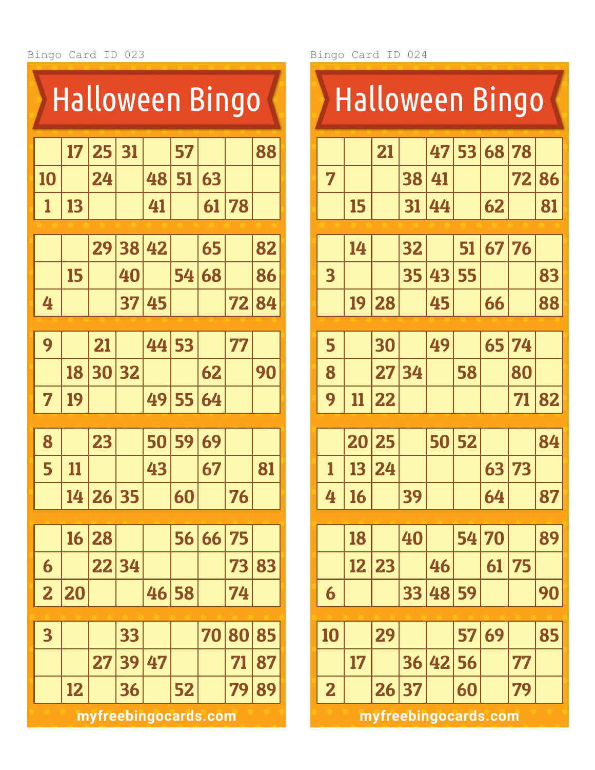| <b>Halloween Bingo</b>  |    |       |    |                      |       |    |    |    |  |  |  |
|-------------------------|----|-------|----|----------------------|-------|----|----|----|--|--|--|
|                         | 17 | 25    | 31 |                      | 57    |    |    | 88 |  |  |  |
| 10                      |    | 24    |    | 48                   | 51    | 63 |    |    |  |  |  |
| 1                       | 13 |       |    | 41                   |       | 61 | 78 |    |  |  |  |
|                         |    | 29    | 38 | 42                   |       | 65 |    | 82 |  |  |  |
|                         | 15 |       | 40 |                      | 54    | 68 |    | 86 |  |  |  |
| 4                       |    |       | 37 | 45                   |       |    | 72 | 84 |  |  |  |
| 9                       |    | 21    |    | 44                   | 53    |    | 77 |    |  |  |  |
|                         |    |       |    |                      |       |    |    |    |  |  |  |
|                         | 18 | 30    | 32 |                      |       | 62 |    | 90 |  |  |  |
| 7                       | 19 |       |    | 49                   | 55    | 64 |    |    |  |  |  |
| 8                       |    | 23    |    | 50                   | 59    | 69 |    |    |  |  |  |
| 5                       | 11 |       |    | 43                   |       | 67 |    | 81 |  |  |  |
|                         | 14 | 26 35 |    |                      | 60    |    | 76 |    |  |  |  |
|                         | 16 | 28    |    |                      | 56    | 66 | 75 |    |  |  |  |
| 6                       |    | 22    | 34 |                      |       |    | 73 | 83 |  |  |  |
| $\overline{\mathbf{2}}$ | 20 |       |    |                      | 46 58 |    | 74 |    |  |  |  |
|                         |    |       |    |                      |       |    |    |    |  |  |  |
| 3                       |    |       | 33 |                      |       | 70 | 80 | 85 |  |  |  |
|                         |    | 27    | 39 | 47                   |       |    | 71 | 87 |  |  |  |
|                         | 12 |       | 36 |                      | 52    |    | 79 | 89 |  |  |  |
|                         |    |       |    | myfreebingocards.com |       |    |    |    |  |  |  |

Bingo Card ID 024

|                         | <b>Halloween Bingo</b> |    |    |    |    |       |       |    |  |  |  |  |
|-------------------------|------------------------|----|----|----|----|-------|-------|----|--|--|--|--|
|                         |                        | 21 |    | 47 |    | 53 68 | 78    |    |  |  |  |  |
| 7                       |                        |    | 38 | 41 |    |       | 72    | 86 |  |  |  |  |
|                         | 15                     |    | 31 | 44 |    | 62    |       | 81 |  |  |  |  |
|                         |                        |    |    |    |    |       |       |    |  |  |  |  |
|                         | 14                     |    | 32 |    | 51 |       | 67 76 |    |  |  |  |  |
| $\overline{\mathbf{3}}$ |                        |    | 35 | 43 | 55 |       |       | 83 |  |  |  |  |
|                         | 19                     | 28 |    | 45 |    | 66    |       | 88 |  |  |  |  |
|                         |                        |    |    |    |    |       |       |    |  |  |  |  |
| 5                       |                        | 30 |    | 49 |    | 65    | 74    |    |  |  |  |  |
| 8                       |                        | 27 | 34 |    | 58 |       | 80    |    |  |  |  |  |
| 9                       | 11                     | 22 |    |    |    |       | 71    | 82 |  |  |  |  |
|                         |                        |    |    |    |    |       |       |    |  |  |  |  |
|                         | 20                     | 25 |    | 50 | 52 |       |       | 84 |  |  |  |  |
| 1                       | 13                     | 24 |    |    |    | 63    | 73    |    |  |  |  |  |
| 4                       | 16                     |    | 39 |    |    | 64    |       | 87 |  |  |  |  |
|                         |                        |    |    |    |    |       |       |    |  |  |  |  |
|                         | 18                     |    | 40 |    | 54 | 70    |       | 89 |  |  |  |  |
|                         | 12                     | 23 |    | 46 |    | 61    | 75    |    |  |  |  |  |
| 6                       |                        |    | 33 | 48 | 59 |       |       | 90 |  |  |  |  |
|                         |                        |    |    |    |    |       |       |    |  |  |  |  |
| 10                      |                        | 29 |    |    | 57 | 69    |       | 85 |  |  |  |  |
|                         | 17                     |    | 36 | 42 | 56 |       | 77    |    |  |  |  |  |
| $\overline{\mathbf{2}}$ |                        | 26 | 37 |    | 60 |       | 79    |    |  |  |  |  |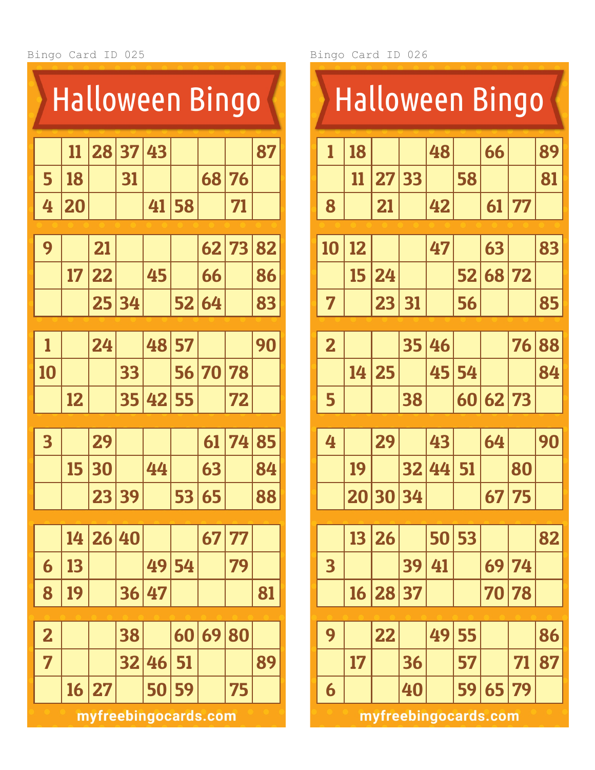| <u>Halloween Bingo</u>  |    |                      |    |    |    |    |    |    |  |  |
|-------------------------|----|----------------------|----|----|----|----|----|----|--|--|
|                         | 11 | 28                   | 37 | 43 |    |    |    | 87 |  |  |
| 5                       | 18 |                      | 31 |    |    | 68 | 76 |    |  |  |
| 4                       | 20 |                      |    | 41 | 58 |    | 71 |    |  |  |
|                         |    |                      |    |    |    |    |    |    |  |  |
| 9                       |    | 21                   |    |    |    | 62 | 73 | 82 |  |  |
|                         | 17 | 22                   |    | 45 |    | 66 |    | 86 |  |  |
|                         |    | 25                   | 34 |    | 52 | 64 |    | 83 |  |  |
| 1                       |    | 24                   |    | 48 | 57 |    |    | 90 |  |  |
|                         |    |                      |    |    |    |    |    |    |  |  |
| 10                      |    |                      | 33 |    | 56 | 70 | 78 |    |  |  |
|                         | 12 |                      | 35 | 42 | 55 |    | 72 |    |  |  |
| $\overline{\mathbf{3}}$ |    | 29                   |    |    |    | 61 | 74 | 85 |  |  |
|                         | 15 | 30                   |    | 44 |    | 63 |    | 84 |  |  |
|                         |    | 23                   | 39 |    | 53 | 65 |    | 88 |  |  |
|                         | 14 | 26 40                |    |    |    | 67 | 77 |    |  |  |
| 6                       | 13 |                      |    | 49 | 54 |    | 79 |    |  |  |
| 8                       | 19 |                      | 36 | 47 |    |    |    | 81 |  |  |
| $\overline{\mathbf{2}}$ |    |                      | 38 |    | 60 | 69 | 80 |    |  |  |
| 7                       |    |                      | 32 | 46 | 51 |    |    | 89 |  |  |
|                         | 16 | 27                   |    | 50 | 59 |    | 75 |    |  |  |
|                         |    | myfreebingocards.com |    |    |    |    |    |    |  |  |

|                         | <b>Halloween Bingo</b> |          |    |    |    |    |       |    |  |  |
|-------------------------|------------------------|----------|----|----|----|----|-------|----|--|--|
| 1                       | 18                     |          |    | 48 |    | 66 |       | 89 |  |  |
|                         | 11                     | 27       | 33 |    | 58 |    |       | 81 |  |  |
| 8                       |                        | 21       |    | 42 |    | 61 | 77    |    |  |  |
| 10                      | 12                     |          |    | 47 |    | 63 |       | 83 |  |  |
|                         | 15                     | 24       |    |    |    |    | 72    |    |  |  |
|                         |                        |          |    |    | 52 | 68 |       |    |  |  |
| 7                       |                        | 23       | 31 |    | 56 |    |       | 85 |  |  |
| $\overline{\mathbf{2}}$ |                        |          | 35 | 46 |    |    | 76    | 88 |  |  |
|                         | 14                     | 25       |    | 45 | 54 |    |       | 84 |  |  |
| 5                       |                        |          | 38 |    | 60 | 62 | 73    |    |  |  |
|                         |                        |          |    |    |    |    |       |    |  |  |
| 4                       |                        | 29       |    | 43 |    | 64 |       | 90 |  |  |
|                         | 19                     |          | 32 | 44 | 51 |    | 80    |    |  |  |
|                         |                        | 20 30 34 |    |    |    | 67 | 75    |    |  |  |
|                         | 13                     | 26       |    | 50 | 53 |    |       | 82 |  |  |
| 3                       |                        |          | 39 | 41 |    | 69 | 74    |    |  |  |
|                         | 16                     | 28 37    |    |    |    | 70 | 78    |    |  |  |
|                         |                        |          |    |    |    |    |       |    |  |  |
| 9                       |                        | 22       |    | 49 | 55 |    |       | 86 |  |  |
|                         | 17                     |          | 36 |    | 57 |    | 71    | 87 |  |  |
| 6                       |                        |          | 40 |    | 59 |    | 65 79 |    |  |  |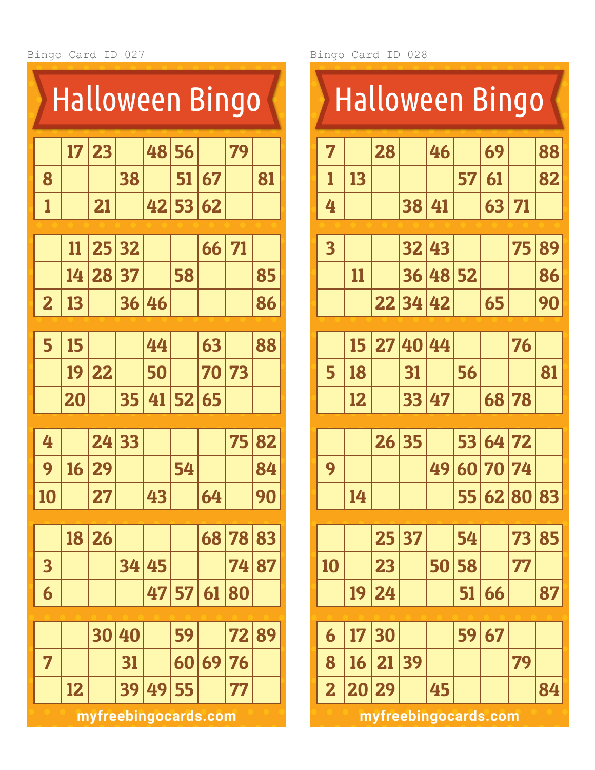| <u>Halloween Bingo</u>  |    |    |    |                      |    |    |    |    |  |
|-------------------------|----|----|----|----------------------|----|----|----|----|--|
|                         | 17 | 23 |    | 48                   | 56 |    | 79 |    |  |
| 8                       |    |    | 38 |                      | 51 | 67 |    | 81 |  |
| 1                       |    | 21 |    | 42                   | 53 | 62 |    |    |  |
|                         |    |    |    |                      |    |    |    |    |  |
|                         | 11 | 25 | 32 |                      |    | 66 | 71 |    |  |
|                         | 14 | 28 | 37 |                      | 58 |    |    | 85 |  |
| $\overline{\mathbf{2}}$ | 13 |    | 36 | 46                   |    |    |    | 86 |  |
|                         |    |    |    |                      |    |    |    |    |  |
| 5                       | 15 |    |    | 44                   |    | 63 |    | 88 |  |
|                         | 19 | 22 |    | 50                   |    | 70 | 73 |    |  |
|                         | 20 |    | 35 | 41                   | 52 | 65 |    |    |  |
|                         |    |    |    |                      |    |    |    |    |  |
| 4                       |    | 24 | 33 |                      |    |    | 75 | 82 |  |
| 9                       | 16 | 29 |    |                      | 54 |    |    | 84 |  |
| 10                      |    | 27 |    | 43                   |    | 64 |    | 90 |  |
|                         |    |    |    |                      |    |    | 78 |    |  |
|                         | 18 | 26 |    |                      |    | 68 |    | 83 |  |
| 3                       |    |    | 34 | 45                   |    |    | 74 | 87 |  |
| 6                       |    |    |    | 47                   | 57 | 61 | 80 |    |  |
|                         |    | 30 | 40 |                      | 59 |    | 72 | 89 |  |
| 7                       |    |    | 31 |                      | 60 | 69 | 76 |    |  |
|                         | 12 |    | 39 | 49                   | 55 |    | 77 |    |  |
|                         |    |    |    | myfreebingocards.com |    |    |    |    |  |

|                         | <b>Halloween Bingo</b> |                      |    |    |    |    |        |    |  |  |
|-------------------------|------------------------|----------------------|----|----|----|----|--------|----|--|--|
| 7                       |                        | 28                   |    | 46 |    | 69 |        | 88 |  |  |
| 1                       | 13                     |                      |    |    | 57 | 61 |        | 82 |  |  |
| 4                       |                        |                      | 38 | 41 |    | 63 | 71     |    |  |  |
| $\overline{\mathbf{3}}$ |                        |                      | 32 | 43 |    |    | 75     | 89 |  |  |
|                         | 11                     |                      | 36 | 48 | 52 |    |        | 86 |  |  |
|                         |                        | 22                   | 34 | 42 |    | 65 |        | 90 |  |  |
|                         |                        |                      |    |    |    |    |        |    |  |  |
|                         | 15                     | 27                   | 40 | 44 |    |    | 76     |    |  |  |
| 5                       | 18                     |                      | 31 |    | 56 |    |        | 81 |  |  |
|                         | 12                     |                      | 33 | 47 |    | 68 | 78     |    |  |  |
|                         |                        | 26                   | 35 |    | 53 | 64 | 72     |    |  |  |
| 9                       |                        |                      |    | 49 | 60 | 70 | 74     |    |  |  |
|                         | 14                     |                      |    |    | 55 |    | 628083 |    |  |  |
|                         |                        |                      |    |    |    |    |        |    |  |  |
|                         |                        | 25                   | 37 |    | 54 |    | 73     | 85 |  |  |
| 10                      |                        | 23                   |    | 50 | 58 |    | 77     |    |  |  |
|                         | 19                     | 24                   |    |    | 51 | 66 |        | 87 |  |  |
| 6                       | 17                     | 30                   |    |    | 59 | 67 |        |    |  |  |
| 8                       | 16                     | 21                   | 39 |    |    |    | 79     |    |  |  |
| $\overline{\mathbf{2}}$ | 20                     | 29                   |    | 45 |    |    |        | 84 |  |  |
|                         |                        | myfreebingocards.com |    |    |    |    |        |    |  |  |